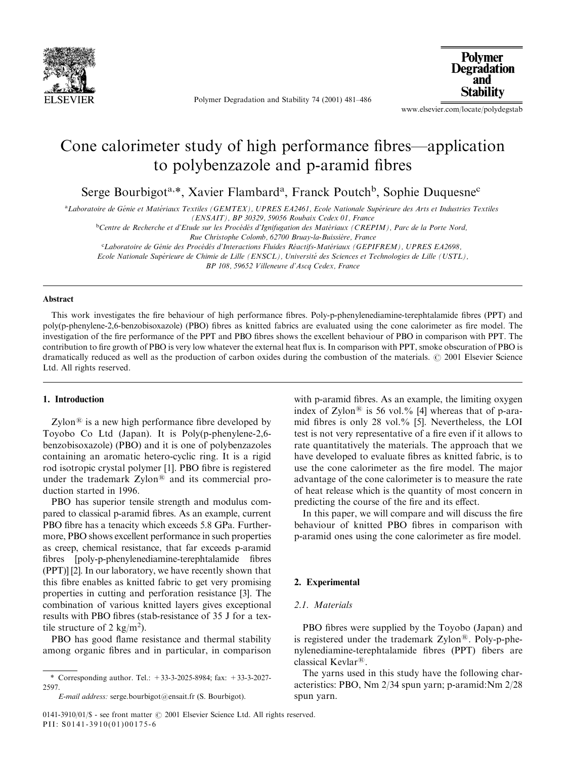

Polymer Degradation and Stability 74 (2001) 481–486

**Polymer Degradation** and **Stability** 

www.elsevier.com/locate/polydegstab

# Cone calorimeter study of high performance fibres—application to polybenzazole and p-aramid fibres

Serge Bourbigot<sup>a,\*</sup>, Xavier Flambard<sup>a</sup>, Franck Poutch<sup>b</sup>, Sophie Duquesne<sup>c</sup>

a Laboratoire de Génie et Matériaux Textiles (GEMTEX), UPRES EA2461, Ecole Nationale Supérieure des Arts et Industries Textiles (ENSAIT), BP 30329, 59056 Roubaix Cedex 01, France

 $b$ Centre de Recherche et d'Etude sur les Procédés d'Ignifugation des Matériaux (CREPIM), Parc de la Porte Nord,

Rue Christophe Colomb, 62700 Bruay-la-Buissière, France

<sup>c</sup>Laboratoire de Génie des Procédés d'Interactions Fluides Réactifs-Matériaux (GEPIFREM), UPRES EA2698,

Ecole Nationale Supérieure de Chimie de Lille (ENSCL), Université des Sciences et Technologies de Lille (USTL),

BP 108, 59652 Villeneuve d'Ascq Cedex, France

#### Abstract

This work investigates the fire behaviour of high performance fibres. Poly-p-phenylenediamine-terephtalamide fibres (PPT) and poly(p-phenylene-2,6-benzobisoxazole) (PBO) fibres as knitted fabrics are evaluated using the cone calorimeter as fire model. The investigation of the fire performance of the PPT and PBO fibres shows the excellent behaviour of PBO in comparison with PPT. The contribution to fire growth of PBO is very low whatever the external heat flux is. In comparison with PPT, smoke obscuration of PBO is dramatically reduced as well as the production of carbon oxides during the combustion of the materials.  $\odot$  2001 Elsevier Science Ltd. All rights reserved.

#### 1. Introduction

Zylon<sup>®</sup> is a new high performance fibre developed by Toyobo Co Ltd (Japan). It is Poly(p-phenylene-2,6 benzobisoxazole) (PBO) and it is one of polybenzazoles containing an aromatic hetero-cyclic ring. It is a rigid rod isotropic crystal polymer [1]. PBO fibre is registered under the trademark  $Zylon^@$  and its commercial production started in 1996.

PBO has superior tensile strength and modulus compared to classical p-aramid fibres. As an example, current PBO fibre has a tenacity which exceeds 5.8 GPa. Furthermore, PBO shows excellent performance in such properties as creep, chemical resistance, that far exceeds p-aramid fibres [poly-p-phenylenediamine-terephtalamide fibres (PPT)] [2]. In our laboratory, we have recently shown that this fibre enables as knitted fabric to get very promising properties in cutting and perforation resistance [3]. The combination of various knitted layers gives exceptional results with PBO fibres (stab-resistance of 35 J for a textile structure of 2 kg/m<sup>2</sup>).

PBO has good flame resistance and thermal stability among organic fibres and in particular, in comparison

with p-aramid fibres. As an example, the limiting oxygen index of Zylon<sup>®</sup> is 56 vol.% [4] whereas that of p-aramid fibres is only 28 vol.% [5]. Nevertheless, the LOI test is not very representative of a fire even if it allows to rate quantitatively the materials. The approach that we have developed to evaluate fibres as knitted fabric, is to use the cone calorimeter as the fire model. The major advantage of the cone calorimeter is to measure the rate of heat release which is the quantity of most concern in predicting the course of the fire and its effect.

In this paper, we will compare and will discuss the fire behaviour of knitted PBO fibres in comparison with p-aramid ones using the cone calorimeter as fire model.

#### 2. Experimental

### 2.1 Materials

PBO fibres were supplied by the Toyobo (Japan) and is registered under the trademark  $Zylon^{\circledR}$ . Poly-p-phenylenediamine-terephtalamide fibres (PPT) fibers are classical Kevlar<sup>®</sup>.

The yarns used in this study have the following characteristics: PBO, Nm 2/34 spun yarn; p-aramid:Nm 2/28 spun yarn.

<sup>\*</sup> Corresponding author. Tel.: +33-3-2025-8984; fax: +33-3-2027- 2597.

E-mail address: serge.bourbigot@ensait.fr (S. Bourbigot).

<sup>0141-3910/01/\$ -</sup> see front matter  $\odot$  2001 Elsevier Science Ltd. All rights reserved. PII: S0141-3910(01)00175-6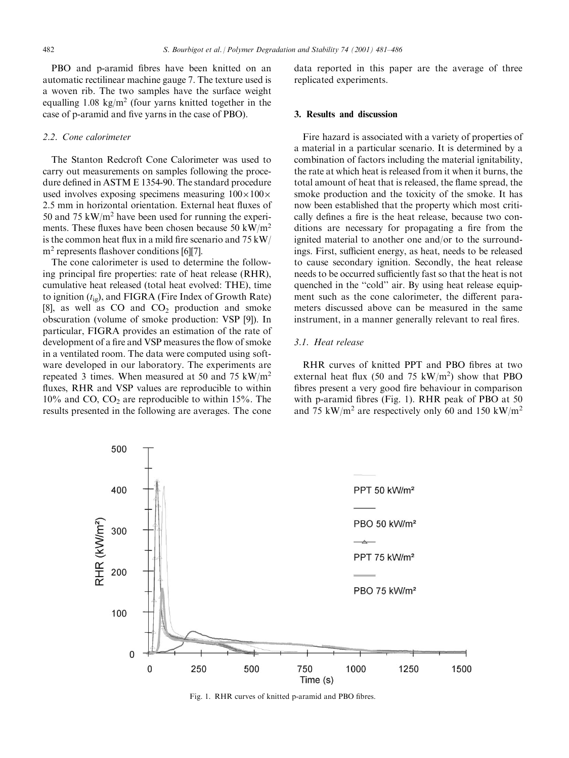PBO and p-aramid fibres have been knitted on an automatic rectilinear machine gauge 7. The texture used is a woven rib. The two samples have the surface weight equalling  $1.08 \text{ kg/m}^2$  (four yarns knitted together in the case of p-aramid and five yarns in the case of PBO).

#### 2.2. Cone calorimeter

The Stanton Redcroft Cone Calorimeter was used to carry out measurements on samples following the procedure defined in ASTM E 1354-90. The standard procedure used involves exposing specimens measuring  $100\times100\times$ 2.5 mm in horizontal orientation. External heat fluxes of 50 and 75 kW/ $m<sup>2</sup>$  have been used for running the experiments. These fluxes have been chosen because 50 kW/ $m<sup>2</sup>$ is the common heat flux in a mild fire scenario and 75 kW/ m<sup>2</sup> represents flashover conditions [6][7].

The cone calorimeter is used to determine the following principal fire properties: rate of heat release (RHR), cumulative heat released (total heat evolved: THE), time to ignition  $(t_{i\varrho})$ , and FIGRA (Fire Index of Growth Rate) [8], as well as  $CO$  and  $CO<sub>2</sub>$  production and smoke obscuration (volume of smoke production: VSP [9]). In particular, FIGRA provides an estimation of the rate of development of a fire and VSP measures the flow of smoke in a ventilated room. The data were computed using software developed in our laboratory. The experiments are repeated 3 times. When measured at 50 and 75 kW/m<sup>2</sup> fluxes, RHR and VSP values are reproducible to within  $10\%$  and CO, CO<sub>2</sub> are reproducible to within 15%. The results presented in the following are averages. The cone

data reported in this paper are the average of three replicated experiments.

#### 3. Results and discussion

Fire hazard is associated with a variety of properties of a material in a particular scenario. It is determined by a combination of factors including the material ignitability, the rate at which heat is released from it when it burns, the total amount of heat that is released, the flame spread, the smoke production and the toxicity of the smoke. It has now been established that the property which most critically defines a fire is the heat release, because two conditions are necessary for propagating a fire from the ignited material to another one and/or to the surroundings. First, sufficient energy, as heat, needs to be released to cause secondary ignition. Secondly, the heat release needs to be occurred sufficiently fast so that the heat is not quenched in the "cold" air. By using heat release equipment such as the cone calorimeter, the different parameters discussed above can be measured in the same instrument, in a manner generally relevant to real fires.

#### 3.1. Heat release

RHR curves of knitted PPT and PBO fibres at two external heat flux (50 and 75  $kW/m<sup>2</sup>$ ) show that PBO fibres present a very good fire behaviour in comparison with p-aramid fibres (Fig. 1). RHR peak of PBO at 50 and 75 kW/m<sup>2</sup> are respectively only 60 and 150 kW/m<sup>2</sup>



Fig. 1. RHR curves of knitted p-aramid and PBO fibres.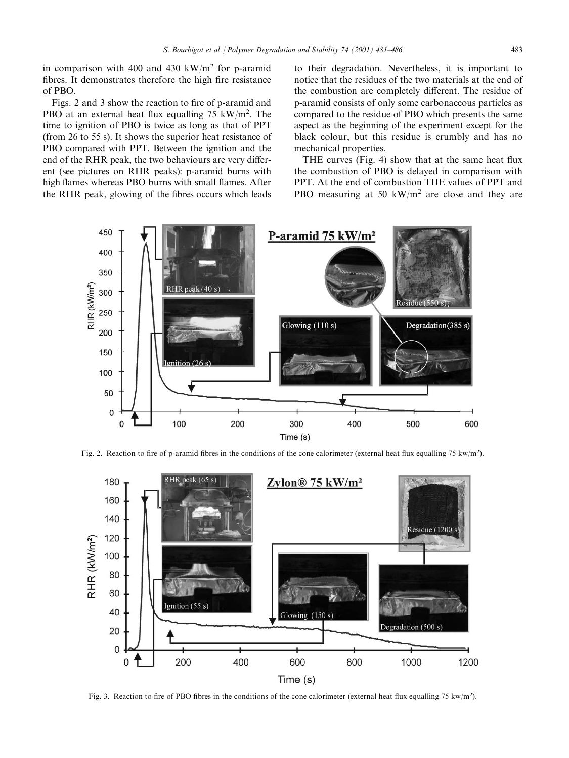in comparison with 400 and 430 kW/m<sup>2</sup> for p-aramid fibres. It demonstrates therefore the high fire resistance of PBO.

Figs. 2 and 3 show the reaction to fire of p-aramid and PBO at an external heat flux equalling  $75 \text{ kW/m}^2$ . The time to ignition of PBO is twice as long as that of PPT (from 26 to 55 s). It shows the superior heat resistance of PBO compared with PPT. Between the ignition and the end of the RHR peak, the two behaviours are very different (see pictures on RHR peaks): p-aramid burns with high flames whereas PBO burns with small flames. After the RHR peak, glowing of the fibres occurs which leads

to their degradation. Nevertheless, it is important to notice that the residues of the two materials at the end of the combustion are completely different. The residue of p-aramid consists of only some carbonaceous particles as compared to the residue of PBO which presents the same aspect as the beginning of the experiment except for the black colour, but this residue is crumbly and has no mechanical properties.

THE curves (Fig. 4) show that at the same heat flux the combustion of PBO is delayed in comparison with PPT. At the end of combustion THE values of PPT and PBO measuring at 50 kW/m<sup>2</sup> are close and they are



Fig. 2. Reaction to fire of p-aramid fibres in the conditions of the cone calorimeter (external heat flux equalling 75 kw/m<sup>2</sup>).



Fig. 3. Reaction to fire of PBO fibres in the conditions of the cone calorimeter (external heat flux equalling 75 kw/m<sup>2</sup>).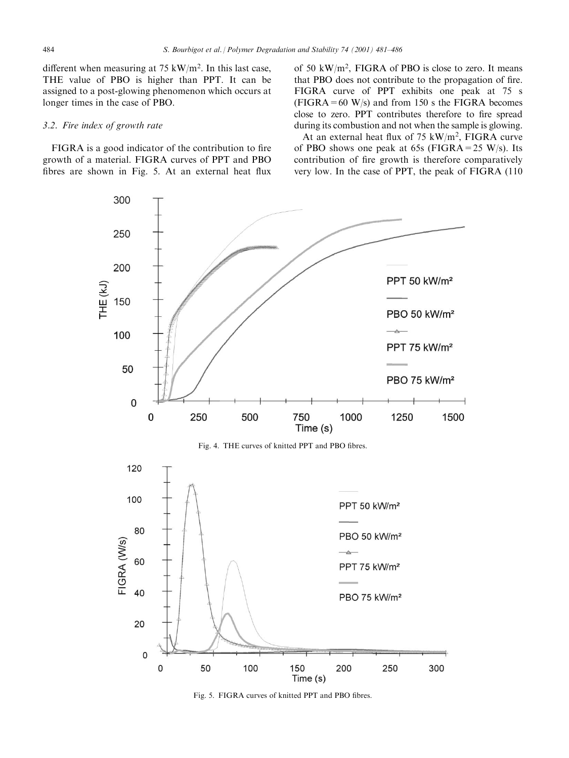different when measuring at 75 kW/m<sup>2</sup>. In this last case, THE value of PBO is higher than PPT. It can be assigned to a post-glowing phenomenon which occurs at longer times in the case of PBO.

#### 3.2. Fire index of growth rate

FIGRA is a good indicator of the contribution to fire growth of a material. FIGRA curves of PPT and PBO fibres are shown in Fig. 5. At an external heat flux

of 50 kW/m<sup>2</sup>, FIGRA of PBO is close to zero. It means that PBO does not contribute to the propagation of fire. FIGRA curve of PPT exhibits one peak at 75 s  $(FIGRA = 60 W/s)$  and from 150 s the FIGRA becomes close to zero. PPT contributes therefore to fire spread during its combustion and not when the sample is glowing.

At an external heat flux of  $75 \text{ kW/m}^2$ , FIGRA curve of PBO shows one peak at 65s (FIGRA=25 W/s). Its contribution of fire growth is therefore comparatively very low. In the case of PPT, the peak of FIGRA (110)



Fig. 5. FIGRA curves of knitted PPT and PBO fibres.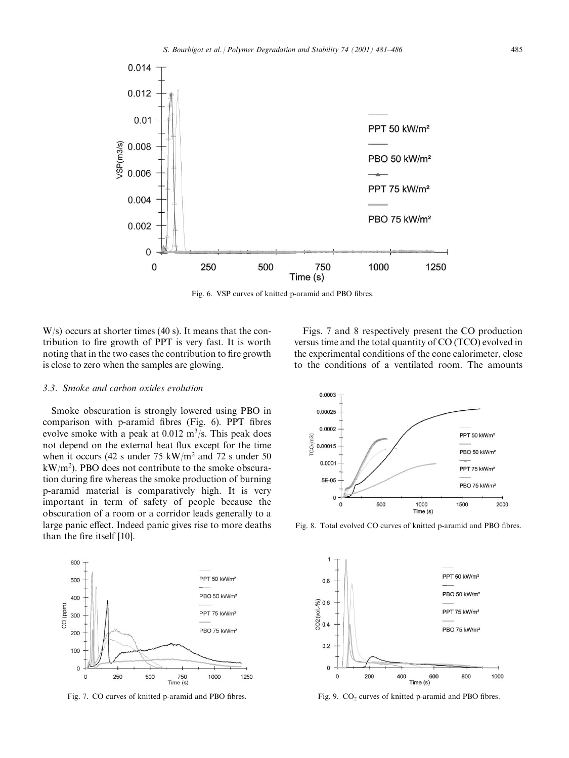

Fig. 6. VSP curves of knitted p-aramid and PBO fibres.

W/s) occurs at shorter times (40 s). It means that the contribution to fire growth of PPT is very fast. It is worth noting that in the two cases the contribution to fire growth is close to zero when the samples are glowing.

## 3.3. Smoke and carbon oxides evolution

Smoke obscuration is strongly lowered using PBO in comparison with p-aramid fibres (Fig. 6). PPT fibres evolve smoke with a peak at  $0.012 \text{ m}^3/\text{s}$ . This peak does not depend on the external heat flux except for the time when it occurs (42 s under 75 kW/m<sup>2</sup> and 72 s under 50  $kW/m<sup>2</sup>$ ). PBO does not contribute to the smoke obscuration during fire whereas the smoke production of burning p-aramid material is comparatively high. It is very important in term of safety of people because the obscuration of a room or a corridor leads generally to a large panic effect. Indeed panic gives rise to more deaths than the fire itself [10].



Fig. 7. CO curves of knitted p-aramid and PBO fibres.

Figs. 7 and 8 respectively present the CO production versus time and the total quantity of CO (TCO) evolved in the experimental conditions of the cone calorimeter, close to the conditions of a ventilated room. The amounts



Fig. 8. Total evolved CO curves of knitted p-aramid and PBO fibres.



Fig. 9.  $CO<sub>2</sub>$  curves of knitted p-aramid and PBO fibres.